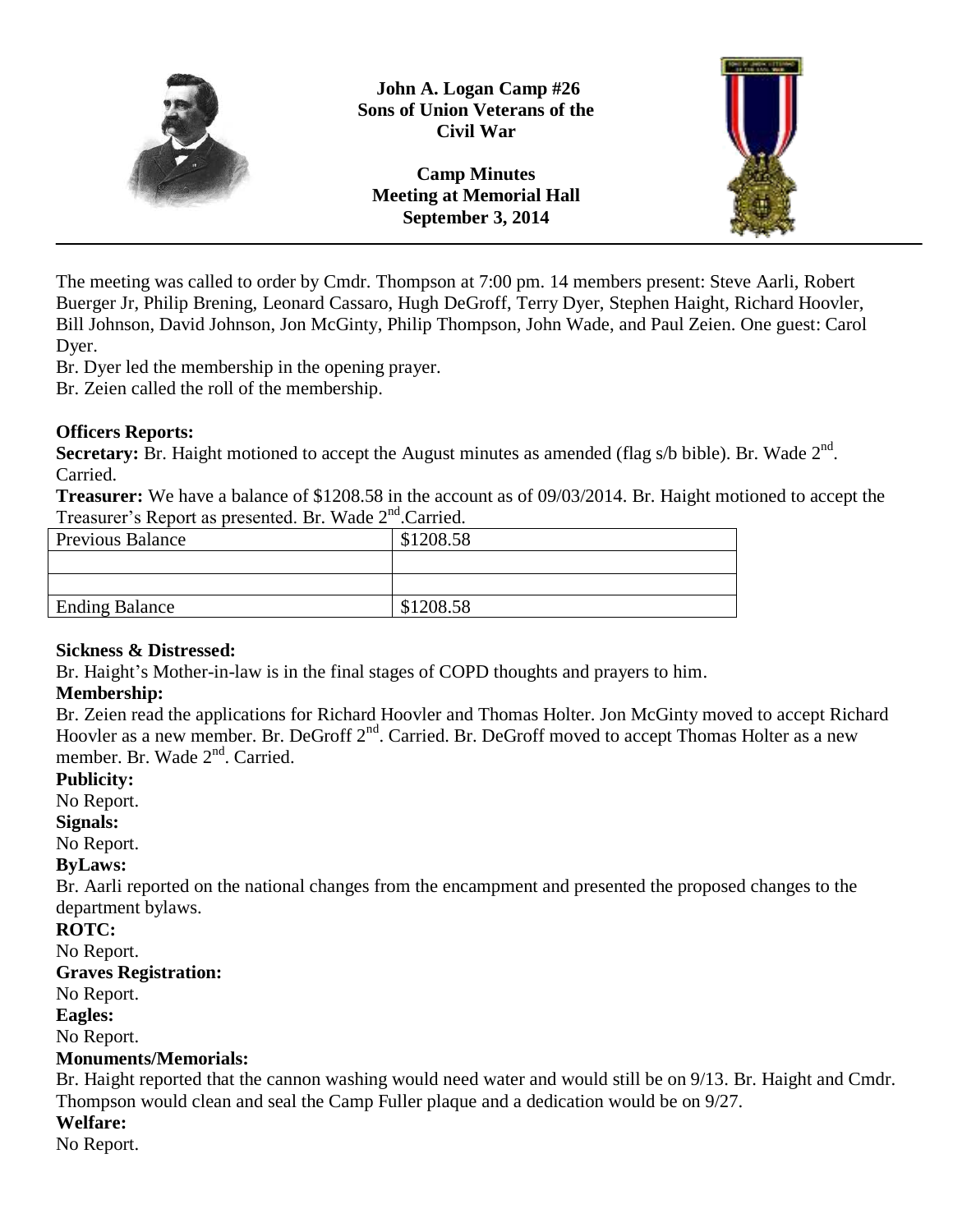

**John A. Logan Camp #26 Sons of Union Veterans of the Civil War**

**Camp Minutes Meeting at Memorial Hall September 3, 2014**



The meeting was called to order by Cmdr. Thompson at 7:00 pm. 14 members present: Steve Aarli, Robert Buerger Jr, Philip Brening, Leonard Cassaro, Hugh DeGroff, Terry Dyer, Stephen Haight, Richard Hoovler, Bill Johnson, David Johnson, Jon McGinty, Philip Thompson, John Wade, and Paul Zeien. One guest: Carol Dyer.

Br. Dyer led the membership in the opening prayer.

Br. Zeien called the roll of the membership.

### **Officers Reports:**

Secretary: Br. Haight motioned to accept the August minutes as amended (flag s/b bible). Br. Wade 2<sup>nd</sup>. Carried.

**Treasurer:** We have a balance of \$1208.58 in the account as of 09/03/2014. Br. Haight motioned to accept the Treasurer's Report as presented. Br. Wade 2<sup>nd</sup>.Carried.

| <b>Previous Balance</b> | \$1208.58 |
|-------------------------|-----------|
|                         |           |
|                         |           |
| <b>Ending Balance</b>   | \$1208.58 |

## **Sickness & Distressed:**

Br. Haight's Mother-in-law is in the final stages of COPD thoughts and prayers to him.

## **Membership:**

Br. Zeien read the applications for Richard Hoovler and Thomas Holter. Jon McGinty moved to accept Richard Hoovler as a new member. Br. DeGroff 2<sup>nd</sup>. Carried. Br. DeGroff moved to accept Thomas Holter as a new member. Br. Wade 2<sup>nd</sup>. Carried.

#### **Publicity:**

No Report.

#### **Signals:**

No Report.

## **ByLaws:**

Br. Aarli reported on the national changes from the encampment and presented the proposed changes to the department bylaws.

## **ROTC:**

No Report.

## **Graves Registration:**

No Report.

#### **Eagles:**

No Report.

## **Monuments/Memorials:**

Br. Haight reported that the cannon washing would need water and would still be on 9/13. Br. Haight and Cmdr. Thompson would clean and seal the Camp Fuller plaque and a dedication would be on 9/27.

## **Welfare:**

No Report.